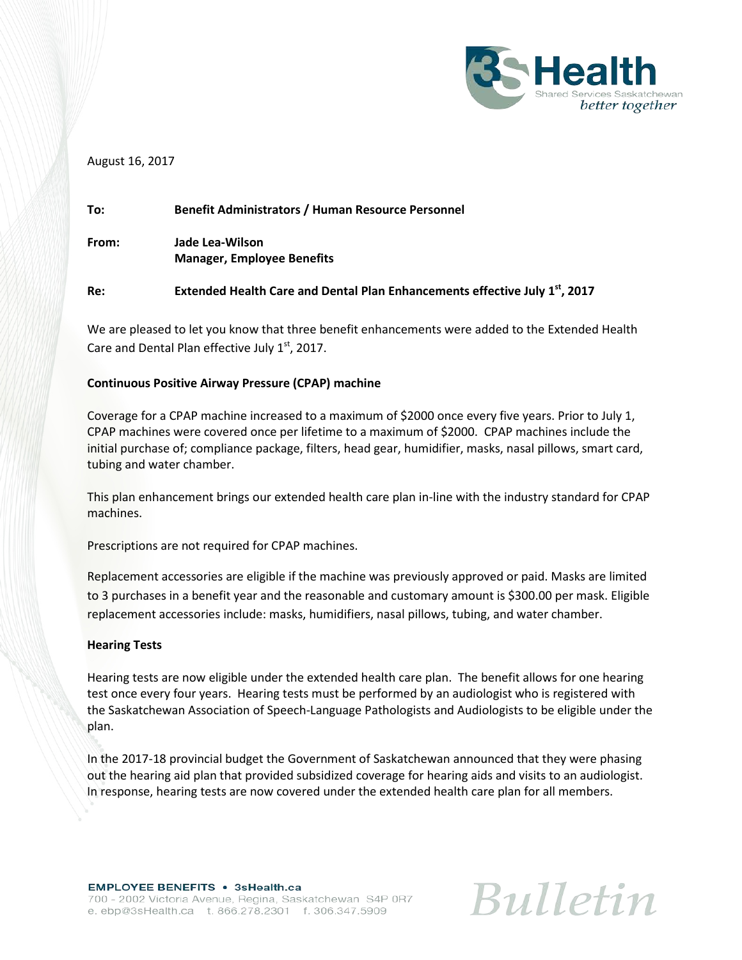

## August 16, 2017

| To:   | <b>Benefit Administrators / Human Resource Personnel</b>                                |
|-------|-----------------------------------------------------------------------------------------|
| From: | Jade Lea-Wilson<br><b>Manager, Employee Benefits</b>                                    |
| Re:   | Extended Health Care and Dental Plan Enhancements effective July 1 <sup>st</sup> , 2017 |

We are pleased to let you know that three benefit enhancements were added to the Extended Health Care and Dental Plan effective July  $1<sup>st</sup>$ , 2017.

## **Continuous Positive Airway Pressure (CPAP) machine**

Coverage for a CPAP machine increased to a maximum of \$2000 once every five years. Prior to July 1, CPAP machines were covered once per lifetime to a maximum of \$2000. CPAP machines include the initial purchase of; compliance package, filters, head gear, humidifier, masks, nasal pillows, smart card, tubing and water chamber.

This plan enhancement brings our extended health care plan in-line with the industry standard for CPAP machines.

Prescriptions are not required for CPAP machines.

Replacement accessories are eligible if the machine was previously approved or paid. Masks are limited to 3 purchases in a benefit year and the reasonable and customary amount is \$300.00 per mask. Eligible replacement accessories include: masks, humidifiers, nasal pillows, tubing, and water chamber.

## **Hearing Tests**

Hearing tests are now eligible under the extended health care plan. The benefit allows for one hearing test once every four years. Hearing tests must be performed by an audiologist who is registered with the Saskatchewan Association of Speech-Language Pathologists and Audiologists to be eligible under the plan.

In the 2017-18 provincial budget the Government of Saskatchewan announced that they were phasing out the hearing aid plan that provided subsidized coverage for hearing aids and visits to an audiologist. In response, hearing tests are now covered under the extended health care plan for all members.